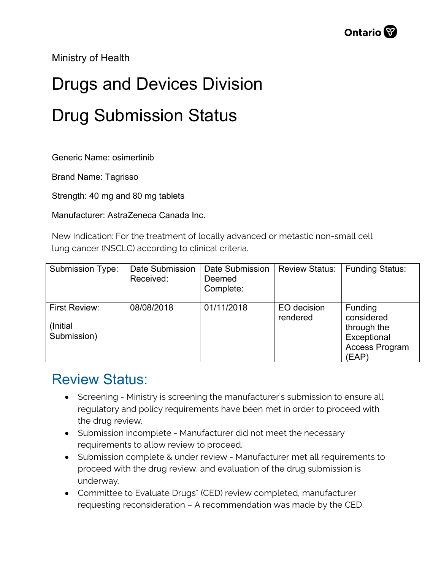Ministry of Health

## Drugs and Devices Division Drug Submission Status

Generic Name: osimertinib

Brand Name: Tagrisso

Strength: 40 mg and 80 mg tablets

Manufacturer: AstraZeneca Canada Inc.

New Indication: For the treatment of locally advanced or metastic non-small cell lung cancer (NSCLC) according to clinical criteria.

| <b>Submission Type:</b>                         | Date Submission<br>Received: | Date Submission<br>Deemed<br>Complete: | <b>Review Status:</b>   | <b>Funding Status:</b>                                                         |
|-------------------------------------------------|------------------------------|----------------------------------------|-------------------------|--------------------------------------------------------------------------------|
| <b>First Review:</b><br>(Initial<br>Submission) | 08/08/2018                   | 01/11/2018                             | EO decision<br>rendered | Funding<br>considered<br>through the<br>Exceptional<br>Access Program<br>(EAP) |

## Review Status:

- Screening Ministry is screening the manufacturer's submission to ensure all regulatory and policy requirements have been met in order to proceed with the drug review.
- Submission incomplete Manufacturer did not meet the necessary requirements to allow review to proceed.
- Submission complete & under review Manufacturer met all requirements to proceed with the drug review, and evaluation of the drug submission is underway.
- Committee to Evaluate Drugs\* (CED) review completed, manufacturer requesting reconsideration – A recommendation was made by the CED,